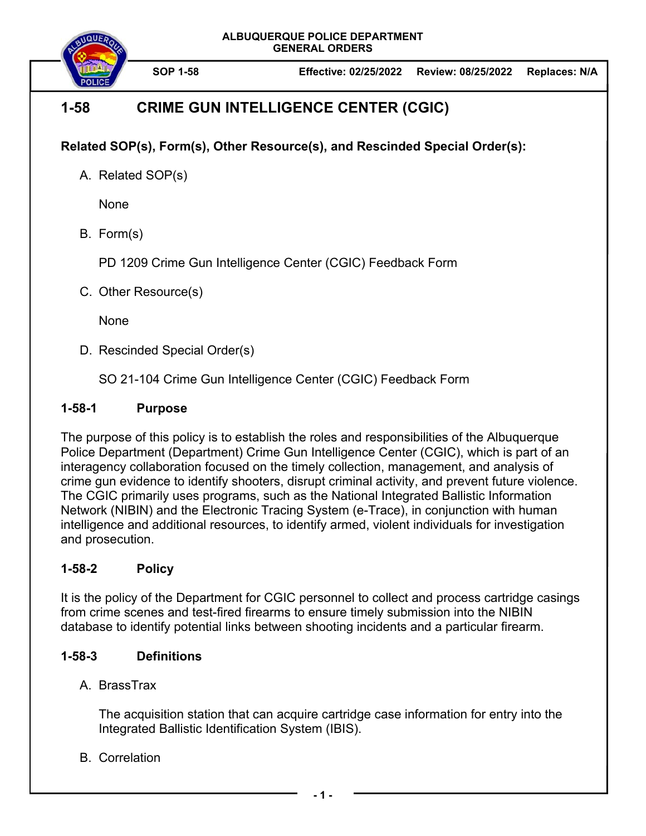



# **1-58 CRIME GUN INTELLIGENCE CENTER (CGIC)**

**Related SOP(s), Form(s), Other Resource(s), and Rescinded Special Order(s):** 

A. Related SOP(s)

None

B. Form(s)

PD 1209 Crime Gun Intelligence Center (CGIC) Feedback Form

C. Other Resource(s)

None

D. Rescinded Special Order(s)

SO 21-104 Crime Gun Intelligence Center (CGIC) Feedback Form

# **1-58-1 Purpose**

The purpose of this policy is to establish the roles and responsibilities of the Albuquerque Police Department (Department) Crime Gun Intelligence Center (CGIC), which is part of an interagency collaboration focused on the timely collection, management, and analysis of crime gun evidence to identify shooters, disrupt criminal activity, and prevent future violence. The CGIC primarily uses programs, such as the National Integrated Ballistic Information Network (NIBIN) and the Electronic Tracing System (e-Trace), in conjunction with human intelligence and additional resources, to identify armed, violent individuals for investigation and prosecution.

# **1-58-2 Policy**

It is the policy of the Department for CGIC personnel to collect and process cartridge casings from crime scenes and test-fired firearms to ensure timely submission into the NIBIN database to identify potential links between shooting incidents and a particular firearm.

# **1-58-3 Definitions**

A. BrassTrax

The acquisition station that can acquire cartridge case information for entry into the Integrated Ballistic Identification System (IBIS).

B. Correlation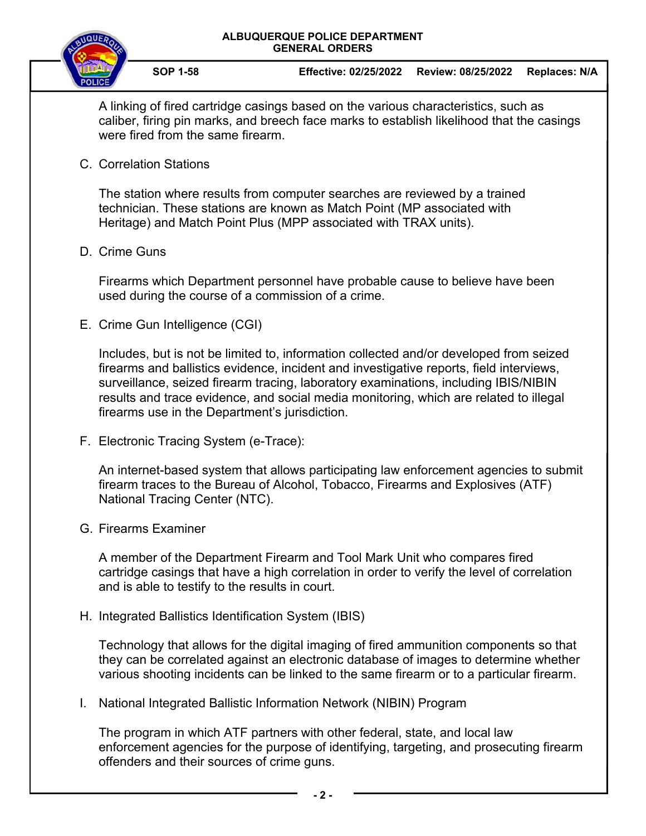



A linking of fired cartridge casings based on the various characteristics, such as caliber, firing pin marks, and breech face marks to establish likelihood that the casings were fired from the same firearm.

C. Correlation Stations

The station where results from computer searches are reviewed by a trained technician. These stations are known as Match Point (MP associated with Heritage) and Match Point Plus (MPP associated with TRAX units).

## D. Crime Guns

Firearms which Department personnel have probable cause to believe have been used during the course of a commission of a crime.

E. Crime Gun Intelligence (CGI)

Includes, but is not be limited to, information collected and/or developed from seized firearms and ballistics evidence, incident and investigative reports, field interviews, surveillance, seized firearm tracing, laboratory examinations, including IBIS/NIBIN results and trace evidence, and social media monitoring, which are related to illegal firearms use in the Department's jurisdiction.

F. Electronic Tracing System (e-Trace):

An internet-based system that allows participating law enforcement agencies to submit firearm traces to the Bureau of Alcohol, Tobacco, Firearms and Explosives (ATF) National Tracing Center (NTC).

G. Firearms Examiner

A member of the Department Firearm and Tool Mark Unit who compares fired cartridge casings that have a high correlation in order to verify the level of correlation and is able to testify to the results in court.

H. Integrated Ballistics Identification System (IBIS)

Technology that allows for the digital imaging of fired ammunition components so that they can be correlated against an electronic database of images to determine whether various shooting incidents can be linked to the same firearm or to a particular firearm.

I. National Integrated Ballistic Information Network (NIBIN) Program

The program in which ATF partners with other federal, state, and local law enforcement agencies for the purpose of identifying, targeting, and prosecuting firearm offenders and their sources of crime guns.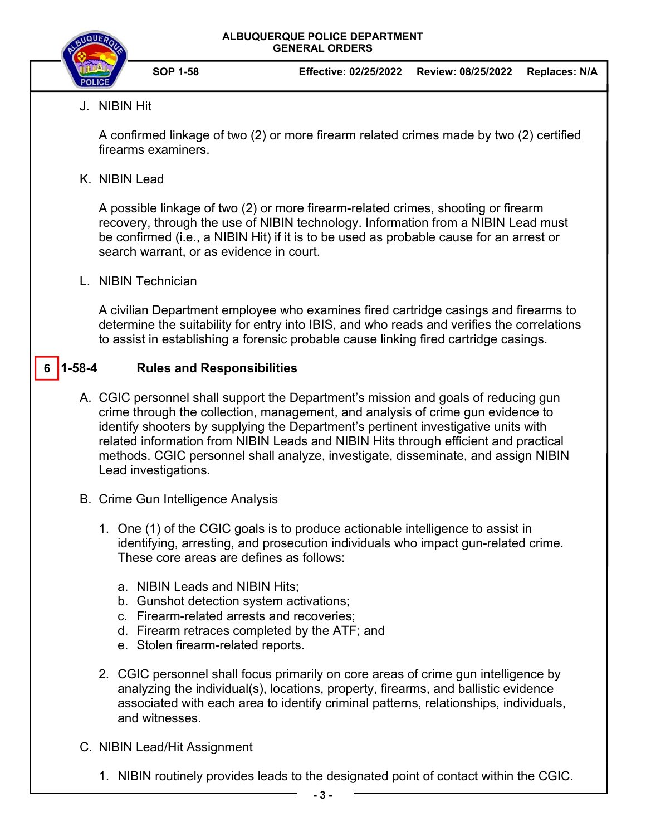

**SOP 1-58 Effective: 02/25/2022 Review: 08/25/2022 Replaces: N/A** 

J. NIBIN Hit

A confirmed linkage of two (2) or more firearm related crimes made by two (2) certified firearms examiners.

K. NIBIN Lead

A possible linkage of two (2) or more firearm-related crimes, shooting or firearm recovery, through the use of NIBIN technology. Information from a NIBIN Lead must be confirmed (i.e., a NIBIN Hit) if it is to be used as probable cause for an arrest or search warrant, or as evidence in court.

L. NIBIN Technician

A civilian Department employee who examines fired cartridge casings and firearms to determine the suitability for entry into IBIS, and who reads and verifies the correlations to assist in establishing a forensic probable cause linking fired cartridge casings.

#### **1-58-4 Rules and Responsibilities 6**

- A. CGIC personnel shall support the Department's mission and goals of reducing gun crime through the collection, management, and analysis of crime gun evidence to identify shooters by supplying the Department's pertinent investigative units with related information from NIBIN Leads and NIBIN Hits through efficient and practical methods. CGIC personnel shall analyze, investigate, disseminate, and assign NIBIN Lead investigations.
- B. Crime Gun Intelligence Analysis
	- 1. One (1) of the CGIC goals is to produce actionable intelligence to assist in identifying, arresting, and prosecution individuals who impact gun-related crime. These core areas are defines as follows:
		- a. NIBIN Leads and NIBIN Hits;
		- b. Gunshot detection system activations;
		- c. Firearm-related arrests and recoveries;
		- d. Firearm retraces completed by the ATF; and
		- e. Stolen firearm-related reports.
	- 2. CGIC personnel shall focus primarily on core areas of crime gun intelligence by analyzing the individual(s), locations, property, firearms, and ballistic evidence associated with each area to identify criminal patterns, relationships, individuals, and witnesses.
- C. NIBIN Lead/Hit Assignment
	- 1. NIBIN routinely provides leads to the designated point of contact within the CGIC.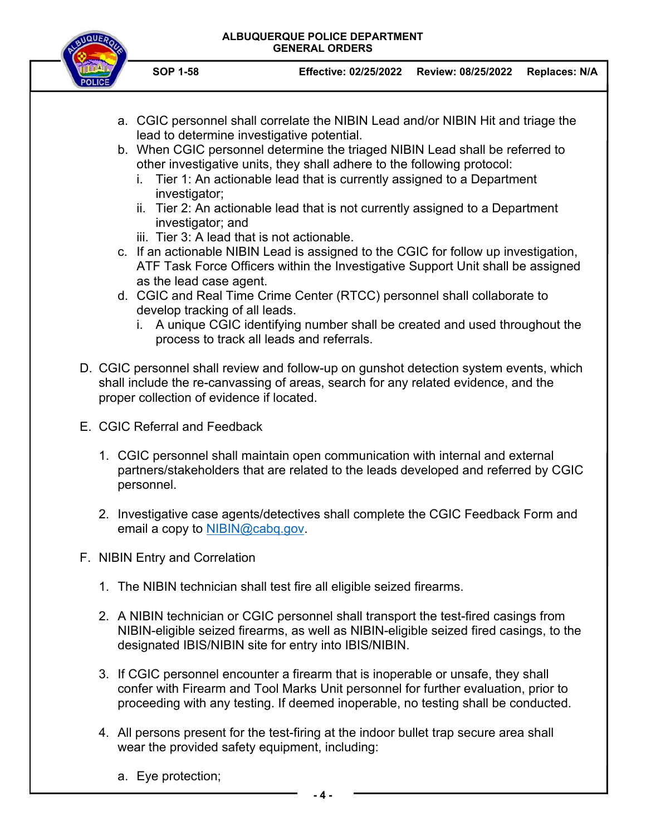### **ALBUQUERQUE POLICE DEPARTMENT GENERAL ORDERS**



- **SOP 1-58 Effective: 02/25/2022 Review: 08/25/2022 Replaces: N/A**
- a. CGIC personnel shall correlate the NIBIN Lead and/or NIBIN Hit and triage the lead to determine investigative potential.
- b. When CGIC personnel determine the triaged NIBIN Lead shall be referred to other investigative units, they shall adhere to the following protocol:
	- i. Tier 1: An actionable lead that is currently assigned to a Department investigator;
	- ii. Tier 2: An actionable lead that is not currently assigned to a Department investigator; and
	- iii. Tier 3: A lead that is not actionable.
- c. If an actionable NIBIN Lead is assigned to the CGIC for follow up investigation, ATF Task Force Officers within the Investigative Support Unit shall be assigned as the lead case agent.
- d. CGIC and Real Time Crime Center (RTCC) personnel shall collaborate to develop tracking of all leads.
	- i. A unique CGIC identifying number shall be created and used throughout the process to track all leads and referrals.
- D. CGIC personnel shall review and follow-up on gunshot detection system events, which shall include the re-canvassing of areas, search for any related evidence, and the proper collection of evidence if located.
- E. CGIC Referral and Feedback
	- 1. CGIC personnel shall maintain open communication with internal and external partners/stakeholders that are related to the leads developed and referred by CGIC personnel.
	- 2. Investigative case agents/detectives shall complete the CGIC Feedback Form and email a copy to NIBIN@cabq.gov.
- F. NIBIN Entry and Correlation
	- 1. The NIBIN technician shall test fire all eligible seized firearms.
	- 2. A NIBIN technician or CGIC personnel shall transport the test-fired casings from NIBIN-eligible seized firearms, as well as NIBIN-eligible seized fired casings, to the designated IBIS/NIBIN site for entry into IBIS/NIBIN.
	- 3. If CGIC personnel encounter a firearm that is inoperable or unsafe, they shall confer with Firearm and Tool Marks Unit personnel for further evaluation, prior to proceeding with any testing. If deemed inoperable, no testing shall be conducted.
	- 4. All persons present for the test-firing at the indoor bullet trap secure area shall wear the provided safety equipment, including:
		- a. Eye protection;